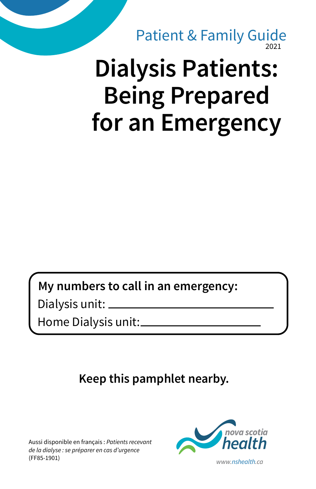2021 **Dialysis Patients:**  Patient & Family Guide

# **Being Prepared for an Emergency**

**My numbers to call in an emergency:**

Dialysis unit:

Home Dialysis unit:

#### **Keep this pamphlet nearby.**

Aussi disponible en français : *Patients recevant de la dialyse : se préparer en cas d'urgence* (FF85-1901) *www.nshealth.ca*

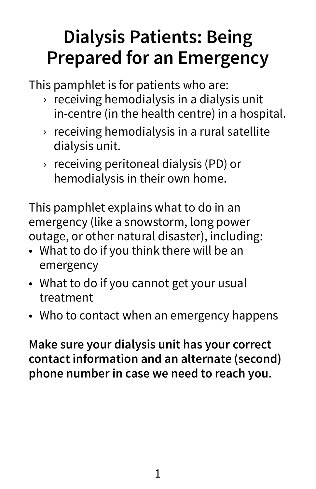## **Dialysis Patients: Being Prepared for an Emergency**

This pamphlet is for patients who are:

- $\rightarrow$  receiving hemodialysis in a dialysis unit in-centre (in the health centre) in a hospital.
- $\rightarrow$  receiving hemodialysis in a rural satellite dialysis unit.
- › receiving peritoneal dialysis (PD) or hemodialysis in their own home.

This pamphlet explains what to do in an emergency (like a snowstorm, long power outage, or other natural disaster), including:

- What to do if you think there will be an emergency
- What to do if you cannot get your usual treatment
- Who to contact when an emergency happens

**Make sure your dialysis unit has your correct contact information and an alternate (second) phone number in case we need to reach you**.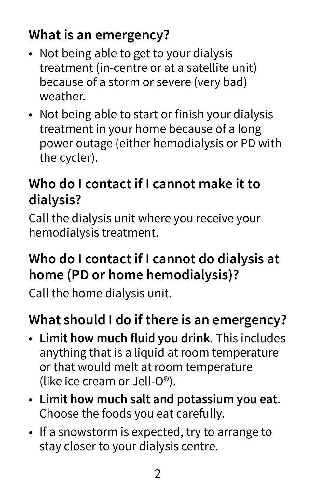#### **What is an emergency?**

- Not being able to get to your dialysis treatment (in-centre or at a satellite unit) because of a storm or severe (very bad) weather.
- Not being able to start or finish your dialysis treatment in your home because of a long power outage (either hemodialysis or PD with the cycler).

#### **Who do I contact if I cannot make it to dialysis?**

Call the dialysis unit where you receive your hemodialysis treatment.

#### **Who do I contact if I cannot do dialysis at home (PD or home hemodialysis)?**

Call the home dialysis unit.

#### **What should I do if there is an emergency?**

- **Limit how much fluid you drink**. This includes anything that is a liquid at room temperature or that would melt at room temperature (like ice cream or Jell-O®).
- **Limit how much salt and potassium you eat**. Choose the foods you eat carefully.
- If a snowstorm is expected, try to arrange to stay closer to your dialysis centre.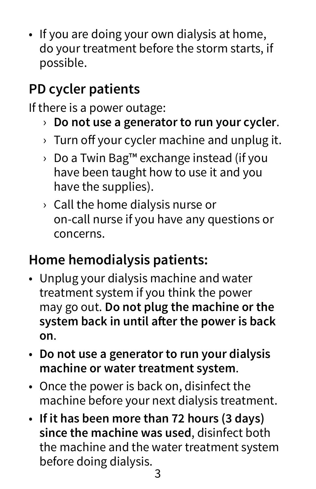• If you are doing your own dialysis at home, do your treatment before the storm starts, if possible.

### **PD cycler patients**

If there is a power outage:

- › **Do not use a generator to run your cycler**.
- $\rightarrow$  Turn off your cycler machine and unplug it.
- › Do a Twin Bag™ exchange instead (if you have been taught how to use it and you have the supplies).
- › Call the home dialysis nurse or on-call nurse if you have any questions or concerns.

#### **Home hemodialysis patients:**

- Unplug your dialysis machine and water treatment system if you think the power may go out. **Do not plug the machine or the system back in until after the power is back on**.
- **Do not use a generator to run your dialysis machine or water treatment system**.
- Once the power is back on, disinfect the machine before your next dialysis treatment.
- **If it has been more than 72 hours (3 days) since the machine was used**, disinfect both the machine and the water treatment system before doing dialysis.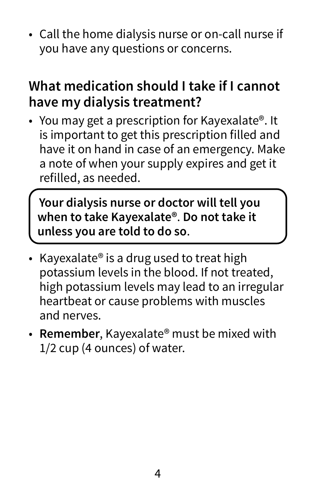• Call the home dialysis nurse or on-call nurse if you have any questions or concerns.

#### **What medication should I take if I cannot have my dialysis treatment?**

• You may get a prescription for Kayexalate®. It is important to get this prescription filled and have it on hand in case of an emergency. Make a note of when your supply expires and get it refilled, as needed.

**Your dialysis nurse or doctor will tell you when to take Kayexalate®**. **Do not take it unless you are told to do so**.

- Kayexalate® is a drug used to treat high potassium levels in the blood. If not treated, high potassium levels may lead to an irregular heartbeat or cause problems with muscles and nerves.
- **Remember**, Kayexalate® must be mixed with 1/2 cup (4 ounces) of water.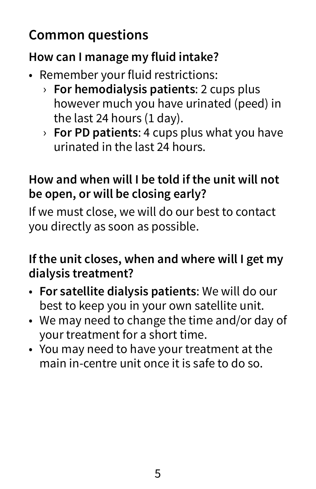#### **Common questions**

#### **How can I manage my fluid intake?**

- Remember your fluid restrictions:
	- › **For hemodialysis patients**: 2 cups plus however much you have urinated (peed) in the last 24 hours (1 day).
	- › **For PD patients**: 4 cups plus what you have urinated in the last 24 hours.

#### **How and when will I be told if the unit will not be open, or will be closing early?**

If we must close, we will do our best to contact you directly as soon as possible.

#### **If the unit closes, when and where will I get my dialysis treatment?**

- **For satellite dialysis patients**: We will do our best to keep you in your own satellite unit.
- We may need to change the time and/or day of your treatment for a short time.
- You may need to have your treatment at the main in-centre unit once it is safe to do so.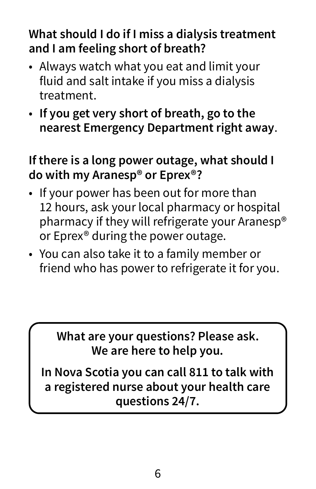#### **What should I do if I miss a dialysis treatment and I am feeling short of breath?**

- Always watch what you eat and limit your fluid and salt intake if you miss a dialysis treatment.
- **If you get very short of breath, go to the nearest Emergency Department right away**.

#### **If there is a long power outage, what should I do with my Aranesp® or Eprex®?**

- If your power has been out for more than 12 hours, ask your local pharmacy or hospital pharmacy if they will refrigerate your Aranesp® or Eprex® during the power outage.
- You can also take it to a family member or friend who has power to refrigerate it for you.

**What are your questions? Please ask. We are here to help you.** 

**In Nova Scotia you can call 811 to talk with a registered nurse about your health care questions 24/7.**